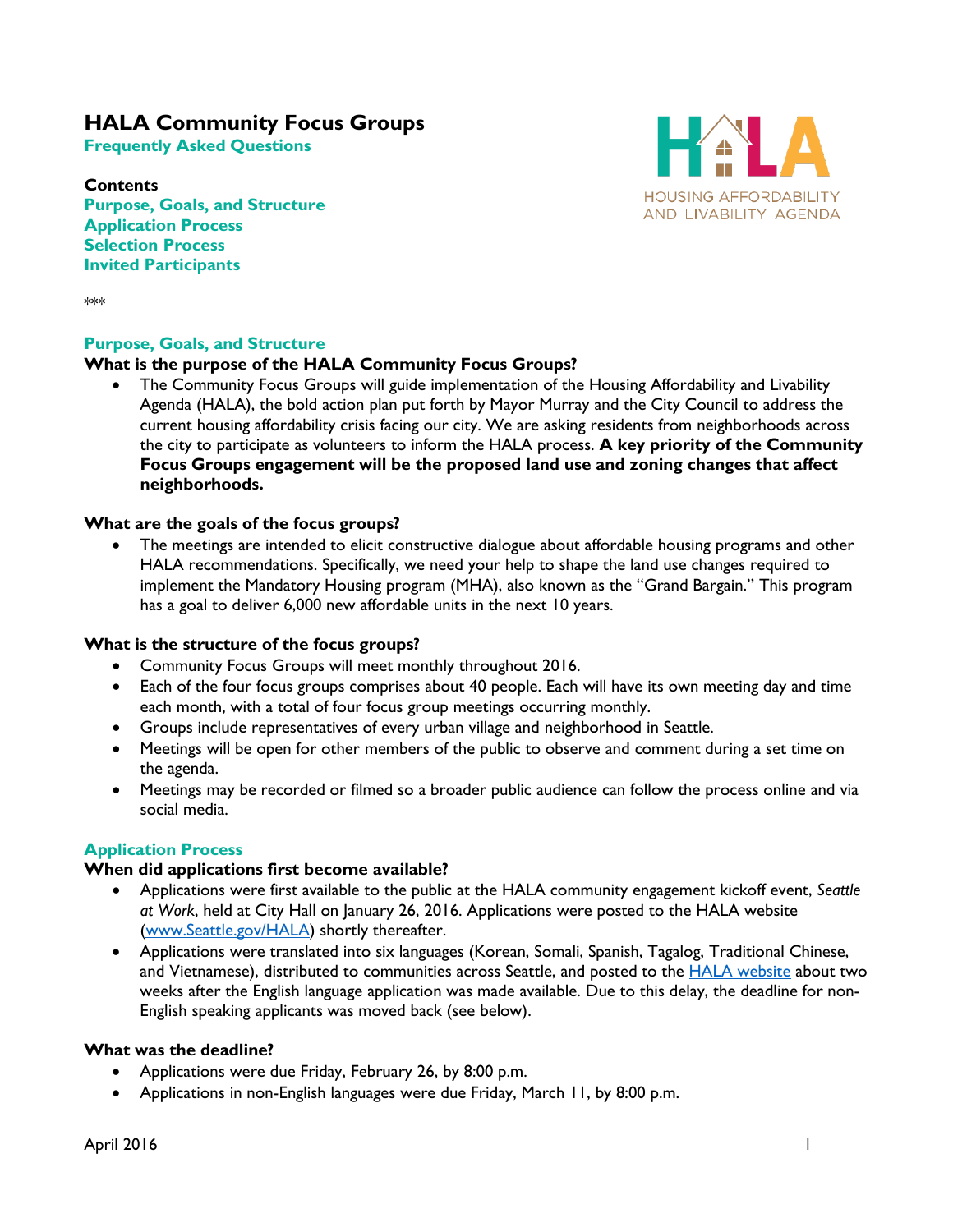# **HALA Community Focus Groups**

**Frequently Asked Questions**

**Contents Purpose, Goals, and Structure Application Process Selection Process Invited Participants**



\*\*\*

### **Purpose, Goals, and Structure**

### **What is the purpose of the HALA Community Focus Groups?**

• The Community Focus Groups will guide implementation of the Housing Affordability and Livability Agenda (HALA), the bold action plan put forth by Mayor Murray and the City Council to address the current housing affordability crisis facing our city. We are asking residents from neighborhoods across the city to participate as volunteers to inform the HALA process. **A key priority of the Community Focus Groups engagement will be the proposed land use and zoning changes that affect neighborhoods.** 

### **What are the goals of the focus groups?**

• The meetings are intended to elicit constructive dialogue about affordable housing programs and other HALA recommendations. Specifically, we need your help to shape the land use changes required to implement the Mandatory Housing program (MHA), also known as the "Grand Bargain." This program has a goal to deliver 6,000 new affordable units in the next 10 years.

#### **What is the structure of the focus groups?**

- Community Focus Groups will meet monthly throughout 2016.
- Each of the four focus groups comprises about 40 people. Each will have its own meeting day and time each month, with a total of four focus group meetings occurring monthly.
- Groups include representatives of every urban village and neighborhood in Seattle.
- Meetings will be open for other members of the public to observe and comment during a set time on the agenda.
- Meetings may be recorded or filmed so a broader public audience can follow the process online and via social media.

#### **Application Process**

#### **When did applications first become available?**

- Applications were first available to the public at the HALA community engagement kickoff event, *Seattle at Work*, held at City Hall on January 26, 2016. Applications were posted to the HALA website [\(www.Seattle.gov/HALA\)](http://www.seattle.gov/HALA) shortly thereafter.
- Applications were translated into six languages (Korean, Somali, Spanish, Tagalog, Traditional Chinese, and Vietnamese), distributed to communities across Seattle, and posted to the **HALA** website about two weeks after the English language application was made available. Due to this delay, the deadline for non-English speaking applicants was moved back (see below).

#### **What was the deadline?**

- Applications were due Friday, February 26, by 8:00 p.m.
- Applications in non-English languages were due Friday, March 11, by 8:00 p.m.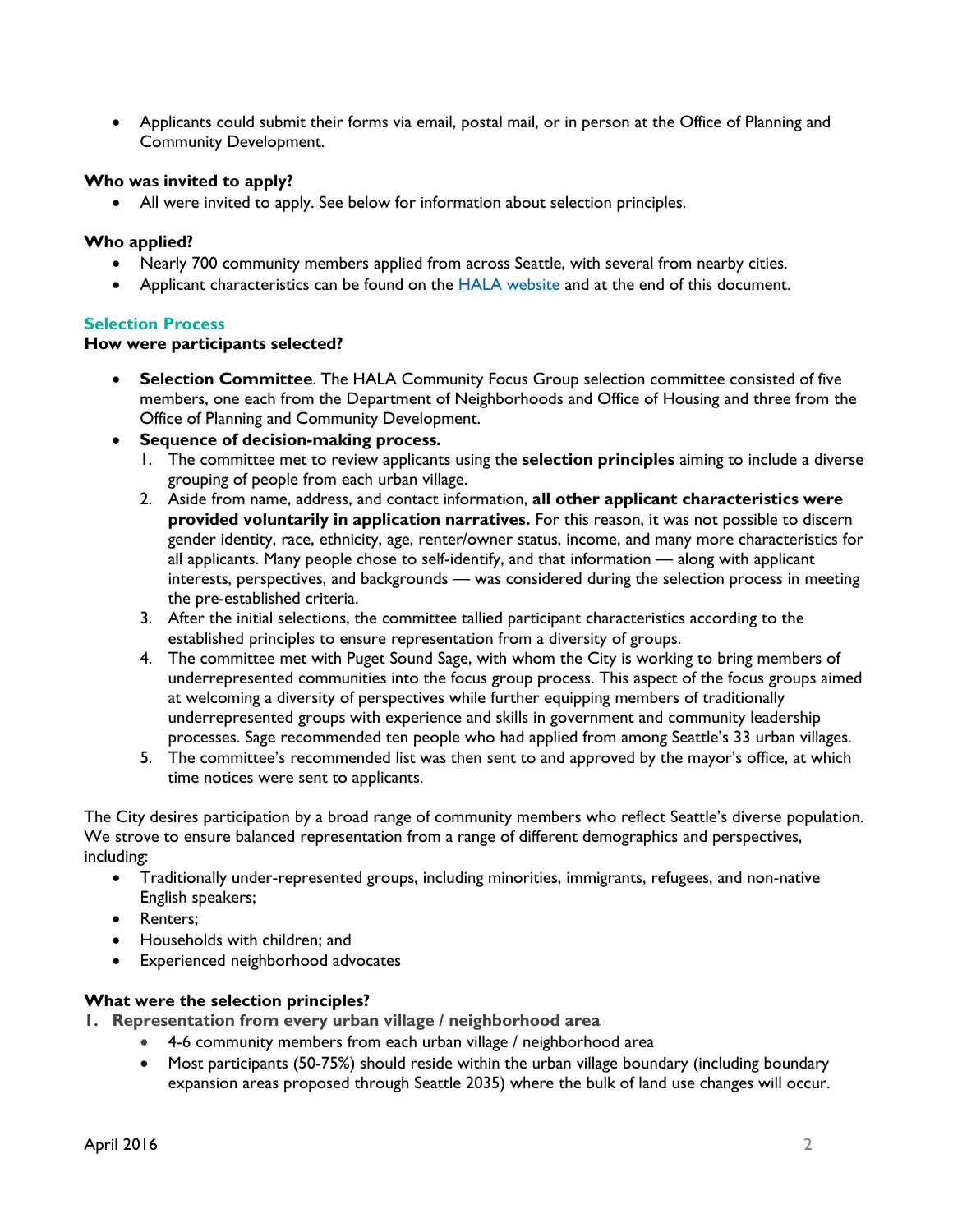• Applicants could submit their forms via email, postal mail, or in person at the Office of Planning and Community Development.

### **Who was invited to apply?**

All were invited to apply. See below for information about selection principles.

## **Who applied?**

- Nearly 700 community members applied from across Seattle, with several from nearby cities.
- Applicant characteristics can be found on the [HALA website](http://www.seattle.gov/HALA) and at the end of this document.

## **Selection Process**

### **How were participants selected?**

- **Selection Committee**. The HALA Community Focus Group selection committee consisted of five members, one each from the Department of Neighborhoods and Office of Housing and three from the Office of Planning and Community Development.
- **Sequence of decision-making process.**
	- 1. The committee met to review applicants using the **selection principles** aiming to include a diverse grouping of people from each urban village.
	- 2. Aside from name, address, and contact information, **all other applicant characteristics were provided voluntarily in application narratives.** For this reason, it was not possible to discern gender identity, race, ethnicity, age, renter/owner status, income, and many more characteristics for all applicants. Many people chose to self-identify, and that information — along with applicant interests, perspectives, and backgrounds — was considered during the selection process in meeting the pre-established criteria.
	- 3. After the initial selections, the committee tallied participant characteristics according to the established principles to ensure representation from a diversity of groups.
	- 4. The committee met with Puget Sound Sage, with whom the City is working to bring members of underrepresented communities into the focus group process. This aspect of the focus groups aimed at welcoming a diversity of perspectives while further equipping members of traditionally underrepresented groups with experience and skills in government and community leadership processes. Sage recommended ten people who had applied from among Seattle's 33 urban villages.
	- 5. The committee's recommended list was then sent to and approved by the mayor's office, at which time notices were sent to applicants.

The City desires participation by a broad range of community members who reflect Seattle's diverse population. We strove to ensure balanced representation from a range of different demographics and perspectives, including:

- Traditionally under-represented groups, including minorities, immigrants, refugees, and non-native English speakers;
- Renters;
- Households with children; and
- Experienced neighborhood advocates

# **What were the selection principles?**

- **1. Representation from every urban village / neighborhood area**
	- 4-6 community members from each urban village / neighborhood area
		- Most participants (50-75%) should reside within the urban village boundary (including boundary expansion areas proposed through Seattle 2035) where the bulk of land use changes will occur.